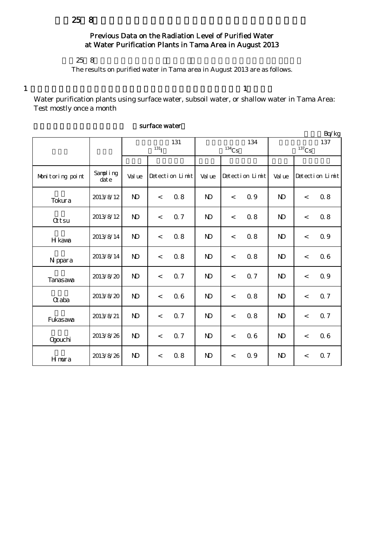# Previous Data on the Radiation Level of Purified Water at Water Purification Plants in Tama Area in August 2013

#### $258$

The results on purified water in Tama area in August 2013 are as follows.

 $1$  and  $1$ 

Water purification plants using surface water, subsoil water, or shallow water in Tama Area: Test mostly once a month

|                  |                   |                           |         |                 |                            |         |                 |                 |         | Bq/kg           |
|------------------|-------------------|---------------------------|---------|-----------------|----------------------------|---------|-----------------|-----------------|---------|-----------------|
|                  |                   | 131<br>$131$ <sup>T</sup> |         |                 | 134<br>$^{134}\mathrm{Cs}$ |         |                 | 137<br>$137$ Cs |         |                 |
|                  |                   |                           |         |                 |                            |         |                 |                 |         |                 |
| Monitoring point | Sampling<br>dat e | Val ue                    |         | Detection Limit | Val ue                     |         | Detection Limit | Val ue          |         | Detection Limit |
| Tokura           | 2013/8/12         | $\mathbf{N}$              | $\,<$   | 0.8             | $\mathbf{N}$               | $\prec$ | 0.9             | $\mathbf{N}$    | $\lt$   | 0.8             |
| <b>Qtsu</b>      | 2013/8/12         | N <sub>D</sub>            | $\prec$ | 0.7             | N <sub>D</sub>             | $\lt$   | 0.8             | N <sub>D</sub>  | $\lt$   | 0.8             |
| H kawa           | 2013/8/14         | $\mathbf{N}$              | $\,<$   | 0.8             | $\mathbf{N}$               | $\,<$   | 0.8             | $\mathbf{N}$    | $\prec$ | Q 9             |
| N ppara          | 2013/8/14         | N <sub>D</sub>            | $\,<$   | 0.8             | $\mathbf{N}$               | $\,<\,$ | 0.8             | $\mathbf{N}$    | $\lt$   | 06              |
| Tanasava         | 2013/8/20         | $\mathbf{N}$              | $\prec$ | Q <sub>7</sub>  | N <sub>D</sub>             | $\lt$   | 0.7             | N <sub>D</sub>  | $\lt$   | 0.9             |
| $\alpha$ aba     | 2013/8/20         | $\mathbf{N}$              | $\,<$   | 06              | $\mathbf{N}$               | $\prec$ | 0.8             | $\mathbf{N}$    | $\lt$   | Q 7             |
| Fukasawa         | 2013/8/21         | $\mathbf{N}$              | $\prec$ | 0.7             | $\mathbf{N}$               | $\lt$   | 0.8             | $\mathbf{D}$    | $\lt$   | 0.7             |
| <b>Ogouchi</b>   | 2013/8/26         | N <sub>D</sub>            | $\,<$   | 0.7             | $\mathbf{N}$               | $\lt$   | 0.6             | $\mathbf{N}$    | $\lt$   | 06              |
| Hmura            | 2013/8/26         | $\mathbf{N}$              | $\,<$   | 0.8             | $\mathbf{N}$               | $\,<$   | 0.9             | $\mathbf{N}$    | $\,<$   | <b>Q</b> 7      |

#### surface water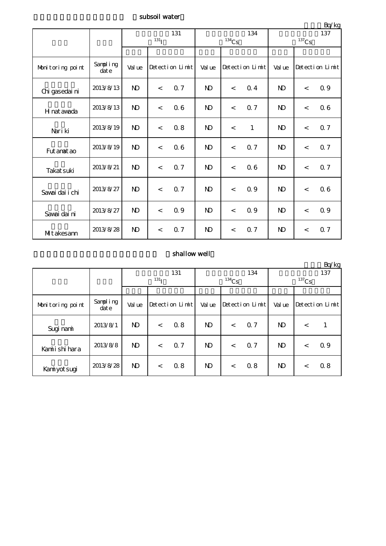### subsoil water

|                  |                   |                |                    |                 |                     |         |                 |                 |         | Bq/kg           |  |
|------------------|-------------------|----------------|--------------------|-----------------|---------------------|---------|-----------------|-----------------|---------|-----------------|--|
|                  |                   | 131            |                    |                 |                     |         | 134             | 137<br>$137$ Cs |         |                 |  |
|                  |                   |                | $131$ <sup>T</sup> |                 | $^{134}\mathrm{Cs}$ |         |                 |                 |         |                 |  |
| Monitoring point | Sampling<br>dat e | Val ue         |                    | Detection Limit | Val ue              |         | Detection Limit | Val ue          |         | Detection Limit |  |
| Chi gasedai ni   | 2013/8/13         | N <sub>D</sub> | $\lt$              | 0.7             | <b>ND</b>           | $\lt$   | 0.4             | $\mathbf{D}$    | $\lt$   | 0.9             |  |
| H nat awada      | 2013/8/13         | N <sub>D</sub> | $\lt$              | 06              | $\mathbf{N}$        | $\lt$   | 0.7             | $\mathbf{N}$    | $\lt$   | 06              |  |
| Nari ki          | 2013/8/19         | N <sub>D</sub> | $\lt$              | 0.8             | N <sub>D</sub>      | $\lt$   | $\mathbf{1}$    | N <sub>D</sub>  | $\lt$   | 0.7             |  |
| Fut anat ao      | 2013/8/19         | N <sub>D</sub> | $\prec$            | 06              | N <sub>D</sub>      | $\prec$ | 0.7             | N <sub>D</sub>  | $\lt$   | 0.7             |  |
| Takat suki       | 2013/8/21         | N <sub>D</sub> | $\lt$              | 0.7             | <b>ND</b>           | $\lt$   | 0.6             | <b>ND</b>       | $\,<\,$ | 0.7             |  |
| Savai dai i chi  | 2013/8/27         | N <sub>D</sub> | $\prec$            | 0.7             | N <sub>D</sub>      | $\prec$ | 0.9             | N <sub>D</sub>  | $\,<\,$ | 06              |  |
| Savai dai ni     | 2013/8/27         | N <sub>D</sub> | $\lt$              | 0.9             | <b>ND</b>           | $\lt$   | 0.9             | $\mathbf{N}$    | $\lt$   | 0.9             |  |
| MItakesann       | 2013/8/28         | $\mathbf{N}$   | $\lt$              | 0.7             | $\mathbf{D}$        | $\lt$   | 0.7             | N <sub>D</sub>  | $\lt$   | 0.7             |  |

## shallow well

|                  |                   |                  |         |                 |                |       |                 |          |         | Bq/kg           |
|------------------|-------------------|------------------|---------|-----------------|----------------|-------|-----------------|----------|---------|-----------------|
|                  |                   | 131              |         |                 | 134            |       |                 | 137      |         |                 |
|                  |                   | 131 <sub>T</sub> |         |                 | $134$ Cs       |       |                 | $137$ Cs |         |                 |
|                  |                   |                  |         |                 |                |       |                 |          |         |                 |
| Monitoring point | Sampling<br>dat e | Val ue           |         | Detection Limit | Val ue         |       | Detection Limit | Val ue   |         | Detection Limit |
| Sugi nami        | 2013/8/1          | N <sub>D</sub>   | $\,<\,$ | 0.8             | N <sub>D</sub> | $\lt$ | 0.7             | N)       | $\,<\,$ |                 |
| Kamiishi hara    | 2013/8/8          | N <sub>D</sub>   | $\,<$   | Q <sub>7</sub>  | N <sub>D</sub> | $\lt$ | 0.7             | ND       | $\,<\,$ | 0.9             |
| Kaniyot sugi     | 2013/8/28         | ND.              | $\lt$   | 0.8             | N <sub>D</sub> | $\lt$ | 0.8             | ND       | $\,<\,$ | 0.8             |